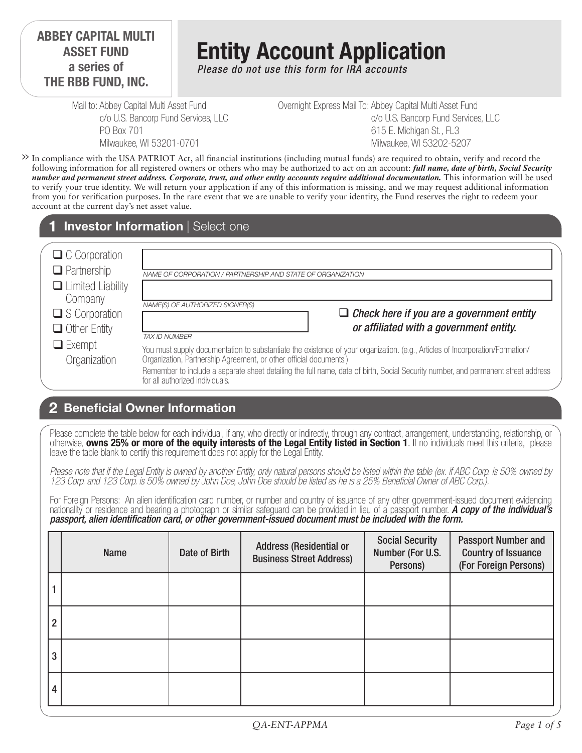#### **ABBEY CAPITAL MULTI ASSET FUND a series of THE RBB FUND, INC.**

# **Entity Account Application**

*Please do not use this form for IRA accounts*

Mail to: Abbey Capital Multi Asset Fund c/o U.S. Bancorp Fund Services, LLC PO Box 701 Milwaukee, WI 53201-0701

Overnight Express Mail To: Abbey Capital Multi Asset Fund c/o U.S. Bancorp Fund Services, LLC 615 E. Michigan St., FL3 Milwaukee, WI 53202-5207

In compliance with the USA PATRIOT Act, all financial institutions (including mutual funds) are required to obtain, verify and record the **>>** following information for all registered owners or others who may be authorized to act on an account: *full name, date of birth, Social Security number and permanent street address. Corporate, trust, and other entity accounts require additional documentation.* This information will be used to verify your true identity. We will return your application if any of this information is missing, and we may request additional information from you for verification purposes. In the rare event that we are unable to verify your identity, the Fund reserves the right to redeem your account at the current day's net asset value.

#### **1 Investor Information** | Select one

| $\Box$ C Corporation                                           |                                                                                                                                                                                                                                                                                                                                                                             |
|----------------------------------------------------------------|-----------------------------------------------------------------------------------------------------------------------------------------------------------------------------------------------------------------------------------------------------------------------------------------------------------------------------------------------------------------------------|
| $\Box$ Partnership                                             | NAME OF CORPORATION / PARTNERSHIP AND STATE OF ORGANIZATION                                                                                                                                                                                                                                                                                                                 |
| $\Box$ Limited Liability<br>Company<br>$\square$ S Corporation | NAME(S) OF AUTHORIZED SIGNER(S)<br>$\Box$ Check here if you are a government entity                                                                                                                                                                                                                                                                                         |
| $\Box$ Other Entity                                            | or affiliated with a government entity.<br>TAX ID NUMBER                                                                                                                                                                                                                                                                                                                    |
| $\Box$ Exempt<br>Organization                                  | You must supply documentation to substantiate the existence of your organization. (e.g., Articles of Incorporation/Formation/<br>Organization, Partnership Agreement, or other official documents.)<br>Remember to include a separate sheet detailing the full name, date of birth, Social Security number, and permanent street address<br>for all authorized individuals. |

### **Beneficial Owner Information 2**

Please complete the table below for each individual, if any, who directly or indirectly, through any contract, arrangement, understanding, relationship, or otherwise, **owns 25% or more of the equity interests of the Legal Entity listed in Section 1**. If no individuals meet this criteria, please leave the table blank to certify this requirement does not apply for the Legal Entity.

*Please note that if the Legal Entity is owned by another Entity, only natural persons should be listed within the table (ex. if ABC Corp. is 50% owned by 123 Corp. and 123 Corp. is 50% owned by John Doe, John Doe should be listed as he is a 25% Beneficial Owner of ABC Corp.).* 

For Foreign Persons: An alien identification card number, or number and country of issuance of any other government-issued document evidencing nationality or residence and bearing a photograph or similar safeguard can be provided in lieu of a passport number. *A copy of the individual's passport, alien identification card, or other government-issued document must be included with the form.* 

|                | <b>Name</b> | Date of Birth | <b>Address (Residential or</b><br><b>Business Street Address)</b> | <b>Social Security</b><br>Number (For U.S.<br>Persons) | <b>Passport Number and</b><br><b>Country of Issuance</b><br>(For Foreign Persons) |
|----------------|-------------|---------------|-------------------------------------------------------------------|--------------------------------------------------------|-----------------------------------------------------------------------------------|
|                |             |               |                                                                   |                                                        |                                                                                   |
| $\overline{2}$ |             |               |                                                                   |                                                        |                                                                                   |
| 3              |             |               |                                                                   |                                                        |                                                                                   |
| 4              |             |               |                                                                   |                                                        |                                                                                   |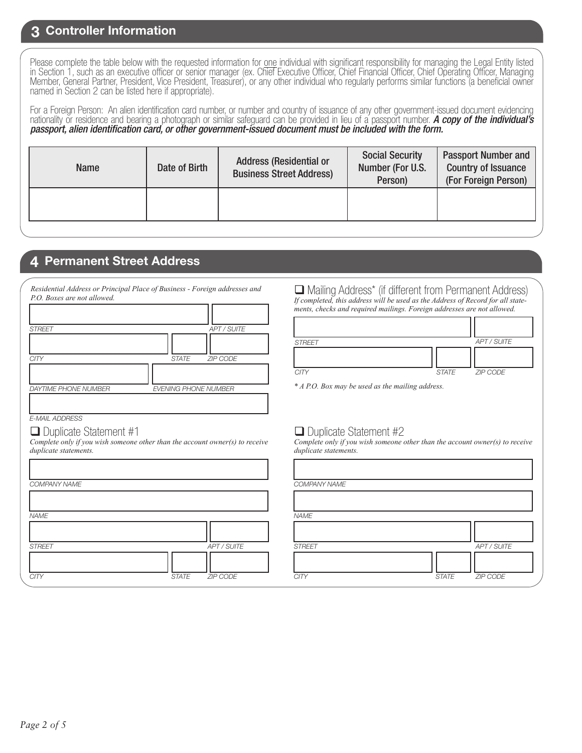#### **3 Controller Information**

Please complete the table below with the requested information for one individual with significant responsibility for managing the Legal Entity listed in Section 1, such as an executive officer or senior manager (ex. Chief Executive Officer, Chief Financial Officer, Chief Operating Officer, Managing Member, General Partner, President, Vice President, Treasurer), or any other individual who regularly performs similar functions (a beneficial owner named in Section 2 can be listed here if appropriate).

For a Foreign Person: An alien identification card number, or number and country of issuance of any other government-issued document evidencing nationality or residence and bearing a photograph or similar safeguard can be provided in lieu of a passport number. *A copy of the individual's passport, alien identification card, or other government-issued document must be included with the form.* 

| <b>Name</b> | Date of Birth | <b>Address (Residential or</b><br><b>Business Street Address)</b> | <b>Social Security</b><br>Number (For U.S.<br>Person) | <b>Passport Number and</b><br><b>Country of Issuance</b><br>(For Foreign Person) |  |
|-------------|---------------|-------------------------------------------------------------------|-------------------------------------------------------|----------------------------------------------------------------------------------|--|
|             |               |                                                                   |                                                       |                                                                                  |  |

#### **4 Permanent Street Address**

| P.O. Boxes are not allowed. | Resultatul Alliness of 1 Hacipal 1 lace of Dashiess - Portiga allinesses and |
|-----------------------------|------------------------------------------------------------------------------|
|                             |                                                                              |
|                             |                                                                              |
| <b>STREET</b>               | <b>APT / SUITE</b>                                                           |
|                             |                                                                              |
| <b>CITY</b>                 | <b>ZIP CODE</b><br><b>STATE</b>                                              |
|                             |                                                                              |
| <b>DAYTIME PHONE NUMBER</b> | <b>EVENING PHONE NUMBER</b>                                                  |
|                             |                                                                              |

*Residential Address or Principal Place of Business - Foreign addresses and* 

*E-MAIL ADDRESS*

#### $\Box$  Duplicate Statement #1

*Complete only if you wish someone other than the account owner(s) to receive duplicate statements.*

| <b>COMPANY NAME</b> |              |             | <b>COMPA</b>  |
|---------------------|--------------|-------------|---------------|
|                     |              |             |               |
| <b>NAME</b>         |              |             | <b>NAME</b>   |
|                     |              |             |               |
| <b>STREET</b>       |              | APT / SUITE | <b>STREET</b> |
|                     |              |             |               |
| <b>CITY</b>         | <b>STATE</b> | ZIP CODE    | <b>CITY</b>   |

**□** Mailing Address\* (if different from Permanent Address) *If completed, this address will be used as the Address of Record for all statements, checks and required mailings. Foreign addresses are not allowed.*

| <b>STREET</b> |              | APT / SUITE |
|---------------|--------------|-------------|
|               |              |             |
| <b>CITY</b>   | <b>STATE</b> | ZIP CODE    |

*\* A P.O. Box may be used as the mailing address.*

#### $\Box$  Duplicate Statement #2

*Complete only if you wish someone other than the account owner(s) to receive duplicate statements.*

|              |             | COMPANY NAME  |              |             |
|--------------|-------------|---------------|--------------|-------------|
|              |             |               |              |             |
|              |             | <b>NAME</b>   |              |             |
|              |             |               |              |             |
|              | APT / SUITE | <b>STREET</b> |              | APT / SUITE |
|              |             |               |              |             |
| <b>STATE</b> | ZIP CODE    | <b>CITY</b>   | <b>STATE</b> | ZIP CODE    |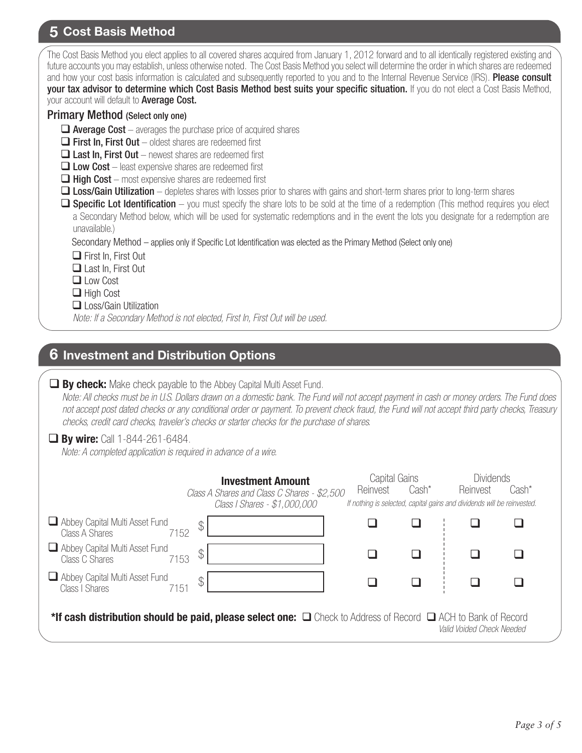## **5 Cost Basis Method**

| The Cost Basis Method you elect applies to all covered shares acquired from January 1, 2012 forward and to all identically registered existing and<br>future accounts you may establish, unless otherwise noted. The Cost Basis Method you select will determine the order in which shares are redeemed<br>and how your cost basis information is calculated and subsequently reported to you and to the Internal Revenue Service (IRS). Please consult<br>your tax advisor to determine which Cost Basis Method best suits your specific situation. If you do not elect a Cost Basis Method, |
|-----------------------------------------------------------------------------------------------------------------------------------------------------------------------------------------------------------------------------------------------------------------------------------------------------------------------------------------------------------------------------------------------------------------------------------------------------------------------------------------------------------------------------------------------------------------------------------------------|
| your account will default to <b>Average Cost.</b>                                                                                                                                                                                                                                                                                                                                                                                                                                                                                                                                             |
| <b>Primary Method (Select only one)</b>                                                                                                                                                                                                                                                                                                                                                                                                                                                                                                                                                       |
| $\Box$ Average Cost – averages the purchase price of acquired shares                                                                                                                                                                                                                                                                                                                                                                                                                                                                                                                          |
| $\Box$ First In, First Out – oldest shares are redeemed first                                                                                                                                                                                                                                                                                                                                                                                                                                                                                                                                 |
| $\Box$ Last In, First Out – newest shares are redeemed first                                                                                                                                                                                                                                                                                                                                                                                                                                                                                                                                  |
| $\Box$ Low Cost – least expensive shares are redeemed first                                                                                                                                                                                                                                                                                                                                                                                                                                                                                                                                   |
| $\Box$ High Cost – most expensive shares are redeemed first                                                                                                                                                                                                                                                                                                                                                                                                                                                                                                                                   |
| <b>Loss/Gain Utilization</b> – depletes shares with losses prior to shares with gains and short-term shares prior to long-term shares                                                                                                                                                                                                                                                                                                                                                                                                                                                         |
| $\Box$ Specific Lot Identification – you must specify the share lots to be sold at the time of a redemption (This method requires you elect                                                                                                                                                                                                                                                                                                                                                                                                                                                   |
| a Secondary Method below, which will be used for systematic redemptions and in the event the lots you designate for a redemption are                                                                                                                                                                                                                                                                                                                                                                                                                                                          |
| unavailable.)                                                                                                                                                                                                                                                                                                                                                                                                                                                                                                                                                                                 |
| Secondary Method – applies only if Specific Lot Identification was elected as the Primary Method (Select only one)                                                                                                                                                                                                                                                                                                                                                                                                                                                                            |
| $\Box$ First In, First Out                                                                                                                                                                                                                                                                                                                                                                                                                                                                                                                                                                    |
| $\Box$ Last In, First Out                                                                                                                                                                                                                                                                                                                                                                                                                                                                                                                                                                     |
| $\Box$ Low Cost                                                                                                                                                                                                                                                                                                                                                                                                                                                                                                                                                                               |
| $\Box$ High Cost                                                                                                                                                                                                                                                                                                                                                                                                                                                                                                                                                                              |
| $\Box$ Loss/Gain Utilization                                                                                                                                                                                                                                                                                                                                                                                                                                                                                                                                                                  |
| Note: If a Secondary Method is not elected, First In, First Out will be used.                                                                                                                                                                                                                                                                                                                                                                                                                                                                                                                 |
|                                                                                                                                                                                                                                                                                                                                                                                                                                                                                                                                                                                               |

### **6 Investment and Distribution Options**

|  |  |  |  | $\Box$ By check: Make check payable to the Abbey Capital Multi Asset Fund. |
|--|--|--|--|----------------------------------------------------------------------------|
|--|--|--|--|----------------------------------------------------------------------------|

 *Note: All checks must be in U.S. Dollars drawn on a domestic bank. The Fund will not accept payment in cash or money orders. The Fund does not accept post dated checks or any conditional order or payment. To prevent check fraud, the Fund will not accept third party checks, Treasury checks, credit card checks, traveler's checks or starter checks for the purchase of shares.*

#### **By wire:** Call 1-844-261-6484.

*Note: A completed application is required in advance of a wire.*

|                                                                                                                         | <b>Investment Amount</b><br>Class A Shares and Class C Shares - \$2,500<br>Class I Shares - \$1,000,000 | Capital Gains<br>Reinvest | Cash* | <b>Dividends</b><br>Reinvest<br>If nothing is selected, capital gains and dividends will be reinvested. | Cash* |
|-------------------------------------------------------------------------------------------------------------------------|---------------------------------------------------------------------------------------------------------|---------------------------|-------|---------------------------------------------------------------------------------------------------------|-------|
| Abbey Capital Multi Asset Fund<br>Class A Shares<br>7152                                                                | ⊕                                                                                                       |                           |       |                                                                                                         |       |
| Abbey Capital Multi Asset Fund<br>Class C Shares<br>7153                                                                | ጥ<br>◡                                                                                                  |                           |       |                                                                                                         |       |
| Abbey Capital Multi Asset Fund<br>Class I Shares<br>7151                                                                | $\mathcal{C}$                                                                                           |                           |       |                                                                                                         |       |
| *If cash distribution should be paid, please select one: $\Box$ Check to Address of Record $\Box$ ACH to Bank of Record |                                                                                                         |                           |       | Valid Voided Check Needed                                                                               |       |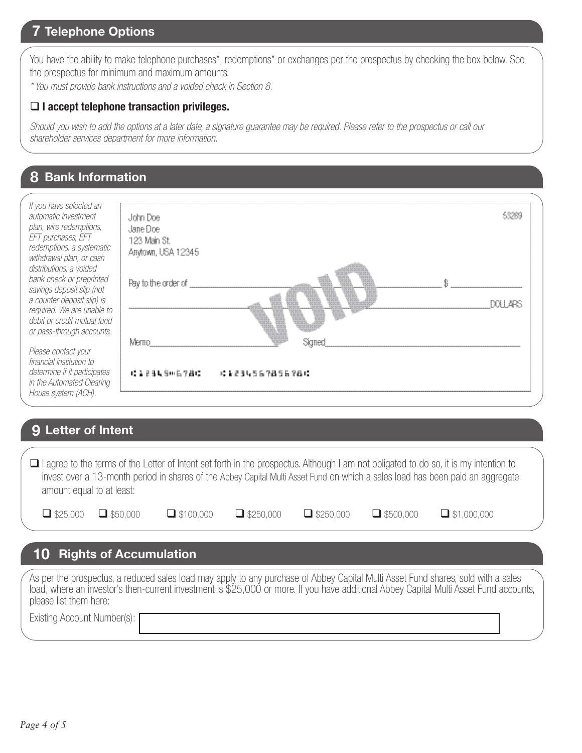## **7 Telephone Options**

You have the ability to make telephone purchases\*, redemptions\* or exchanges per the prospectus by checking the box below. See the prospectus for minimum and maximum amounts.

*\* You must provide bank instructions and a voided check in Section 8.* 

#### **I accept telephone transaction privileges.**

*Should you wish to add the options at a later date, a signature guarantee may be required. Please refer to the prospectus or call our shareholder services department for more information.*

## **8 Bank Information**

| If you have selected an<br>automatic investment                                                                                              | John Doe                                        |  |
|----------------------------------------------------------------------------------------------------------------------------------------------|-------------------------------------------------|--|
| plan, wire redemptions,<br>EFT purchases, EFT<br>redemptions, a systematic<br>withdrawal plan, or cash                                       | Jane Doel<br>123 Main St.<br>Anytown, USA 12345 |  |
| distributions, a voided<br>bank check or preprinted<br>savings deposit slip (not<br>a counter deposit slip) is<br>required. We are unable to | Pay to the order of                             |  |
| debit or credit mutual fund<br>or pass-through accounts.                                                                                     | Memo<br>Samer                                   |  |
| Please contact your<br>financial institution to<br>determine if it participates<br>in the Automated Clearing                                 | 1、第五百五月号111后岁月12日<br><b>. 1234567856781</b>     |  |
| House system (ACH).                                                                                                                          |                                                 |  |

#### **9 Letter of Intent**

□ I agree to the terms of the Letter of Intent set forth in the prospectus. Although I am not obligated to do so, it is my intention to invest over a 13-month period in shares of the Abbey Capital Multi Asset Fund on which a sales load has been paid an aggregate amount equal to at least:

| $\Box$ \$25,000 $\Box$ \$50,000 | $\Box$ \$100,000 | $\Box$ \$250,000 | $\Box$ \$250,000 | $\Box$ \$500,000 | $\Box$ \$1,000,000 |
|---------------------------------|------------------|------------------|------------------|------------------|--------------------|
|                                 |                  |                  |                  |                  |                    |

## **10 Rights of Accumulation**

As per the prospectus, a reduced sales load may apply to any purchase of Abbey Capital Multi Asset Fund shares, sold with a sales load, where an investor's then-current investment is \$25,000 or more. If you have additional Abbey Capital Multi Asset Fund accounts, please list them here: Existing Account Number(s):

*Page 4 of 5*